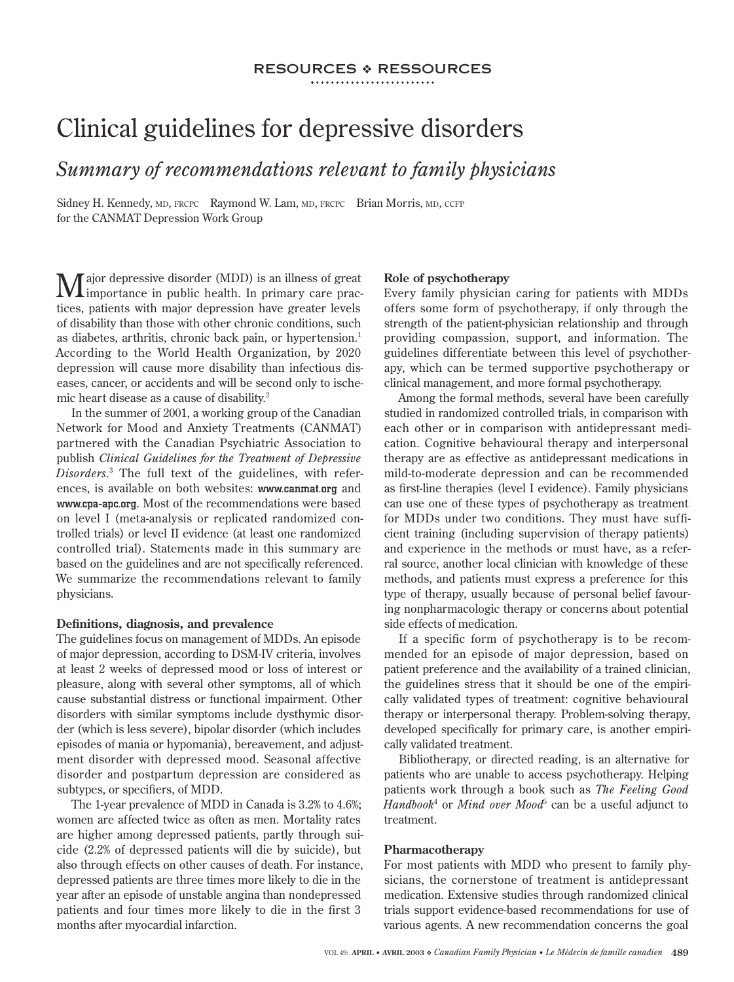## resources ressources

# Clinical guidelines for depressive disorders

*Summary of recommendations relevant to family physicians*

Sidney H. Kennedy, MD, FRCPC Raymond W. Lam, MD, FRCPC Brian Morris, MD, CCFP for the CANMAT Depression Work Group

Major depressive disorder (MDD) is an illness of great importance in public health. In primary care practices, patients with major depression have greater levels of disability than those with other chronic conditions, such as diabetes, arthritis, chronic back pain, or hypertension.<sup>1</sup> According to the World Health Organization, by 2020 depression will cause more disability than infectious diseases, cancer, or accidents and will be second only to ischemic heart disease as a cause of disability.<sup>2</sup>

In the summer of 2001, a working group of the Canadian Network for Mood and Anxiety Treatments (CANMAT) partnered with the Canadian Psychiatric Association to publish *Clinical Guidelines for the Treatment of Depressive Disorders*. 3 The full text of the guidelines, with references, is available on both websites: www.canmat.org and www.cpa-apc.org. Most of the recommendations were based on level I (meta-analysis or replicated randomized controlled trials) or level II evidence (at least one randomized controlled trial). Statements made in this summary are based on the guidelines and are not specifically referenced. We summarize the recommendations relevant to family physicians.

#### **Definitions, diagnosis, and prevalence**

The guidelines focus on management of MDDs. An episode of major depression, according to DSM-IV criteria, involves at least 2 weeks of depressed mood or loss of interest or pleasure, along with several other symptoms, all of which cause substantial distress or functional impairment. Other disorders with similar symptoms include dysthymic disorder (which is less severe), bipolar disorder (which includes episodes of mania or hypomania), bereavement, and adjustment disorder with depressed mood. Seasonal affective disorder and postpartum depression are considered as subtypes, or specifiers, of MDD.

The 1-year prevalence of MDD in Canada is 3.2% to 4.6%; women are affected twice as often as men. Mortality rates are higher among depressed patients, partly through suicide (2.2% of depressed patients will die by suicide), but also through effects on other causes of death. For instance, depressed patients are three times more likely to die in the year after an episode of unstable angina than nondepressed patients and four times more likely to die in the first 3 months after myocardial infarction.

#### **Role of psychotherapy**

Every family physician caring for patients with MDDs offers some form of psychotherapy, if only through the strength of the patient-physician relationship and through providing compassion, support, and information. The guidelines differentiate between this level of psychotherapy, which can be termed supportive psychotherapy or clinical management, and more formal psychotherapy.

Among the formal methods, several have been carefully studied in randomized controlled trials, in comparison with each other or in comparison with antidepressant medication. Cognitive behavioural therapy and interpersonal therapy are as effective as antidepressant medications in mild-to-moderate depression and can be recommended as first-line therapies (level I evidence). Family physicians can use one of these types of psychotherapy as treatment for MDDs under two conditions. They must have sufficient training (including supervision of therapy patients) and experience in the methods or must have, as a referral source, another local clinician with knowledge of these methods, and patients must express a preference for this type of therapy, usually because of personal belief favouring nonpharmacologic therapy or concerns about potential side effects of medication.

If a specific form of psychotherapy is to be recommended for an episode of major depression, based on patient preference and the availability of a trained clinician, the guidelines stress that it should be one of the empirically validated types of treatment: cognitive behavioural therapy or interpersonal therapy. Problem-solving therapy, developed specifically for primary care, is another empirically validated treatment.

Bibliotherapy, or directed reading, is an alternative for patients who are unable to access psychotherapy. Helping patients work through a book such as *The Feeling Good*  Handbook<sup>4</sup> or *Mind over Mood*<sup>5</sup> can be a useful adjunct to treatment.

#### **Pharmacotherapy**

For most patients with MDD who present to family physicians, the cornerstone of treatment is antidepressant medication. Extensive studies through randomized clinical trials support evidence-based recommendations for use of various agents. A new recommendation concerns the goal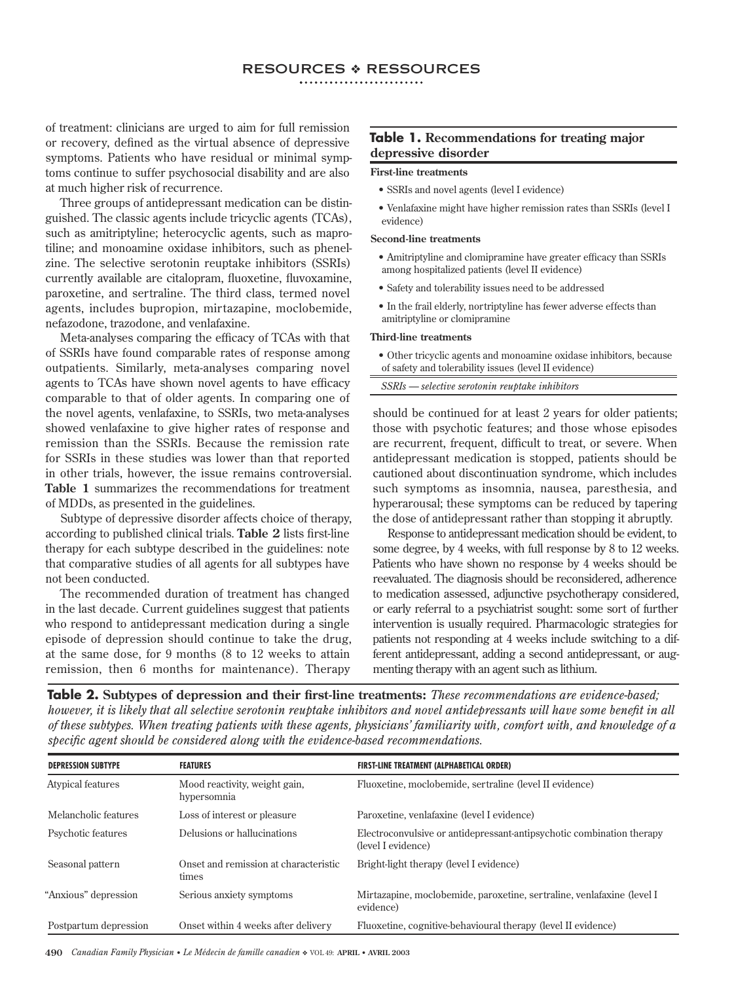## resources ressources

of treatment: clinicians are urged to aim for full remission or recovery, defined as the virtual absence of depressive symptoms. Patients who have residual or minimal symptoms continue to suffer psychosocial disability and are also at much higher risk of recurrence.

Three groups of antidepressant medication can be distinguished. The classic agents include tricyclic agents (TCAs), such as amitriptyline; heterocyclic agents, such as maprotiline; and monoamine oxidase inhibitors, such as phenelzine. The selective serotonin reuptake inhibitors (SSRIs) currently available are citalopram, fluoxetine, fluvoxamine, paroxetine, and sertraline. The third class, termed novel agents, includes bupropion, mirtazapine, moclobemide, nefazodone, trazodone, and venlafaxine.

Meta-analyses comparing the efficacy of TCAs with that of SSRIs have found comparable rates of response among outpatients. Similarly, meta-analyses comparing novel agents to TCAs have shown novel agents to have efficacy comparable to that of older agents. In comparing one of the novel agents, venlafaxine, to SSRIs, two meta-analyses showed venlafaxine to give higher rates of response and remission than the SSRIs. Because the remission rate for SSRIs in these studies was lower than that reported in other trials, however, the issue remains controversial. **Table 1** summarizes the recommendations for treatment of MDDs, as presented in the guidelines.

Subtype of depressive disorder affects choice of therapy, according to published clinical trials. **Table 2** lists first-line therapy for each subtype described in the guidelines: note that comparative studies of all agents for all subtypes have not been conducted.

The recommended duration of treatment has changed in the last decade. Current guidelines suggest that patients who respond to antidepressant medication during a single episode of depression should continue to take the drug, at the same dose, for 9 months (8 to 12 weeks to attain remission, then 6 months for maintenance). Therapy

### **Table 1. Recommendations for treating major depressive disorder**

#### **First-line treatments**

- SSRIs and novel agents (level I evidence)
- Venlafaxine might have higher remission rates than SSRIs (level I evidence)

#### **Second-line treatments**

- Amitriptyline and clomipramine have greater efficacy than SSRIs among hospitalized patients (level II evidence)
- Safety and tolerability issues need to be addressed
- In the frail elderly, nortriptyline has fewer adverse effects than amitriptyline or clomipramine

#### **Third-line treatments**

- Other tricyclic agents and monoamine oxidase inhibitors, because of safety and tolerability issues (level II evidence)
- *SSRIs selective serotonin reuptake inhibitors*

should be continued for at least 2 years for older patients; those with psychotic features; and those whose episodes are recurrent, frequent, difficult to treat, or severe. When antidepressant medication is stopped, patients should be cautioned about discontinuation syndrome, which includes such symptoms as insomnia, nausea, paresthesia, and hyperarousal; these symptoms can be reduced by tapering the dose of antidepressant rather than stopping it abruptly.

Response to antidepressant medication should be evident, to some degree, by 4 weeks, with full response by 8 to 12 weeks. Patients who have shown no response by 4 weeks should be reevaluated. The diagnosis should be reconsidered, adherence to medication assessed, adjunctive psychotherapy considered, or early referral to a psychiatrist sought: some sort of further intervention is usually required. Pharmacologic strategies for patients not responding at 4 weeks include switching to a different antidepressant, adding a second antidepressant, or augmenting therapy with an agent such as lithium.

**Table 2. Subtypes of depression and their first-line treatments:** *These recommendations are evidence-based; however, it is likely that all selective serotonin reuptake inhibitors and novel antidepressants will have some benefit in all of these subtypes. When treating patients with these agents, physicians' familiarity with, comfort with, and knowledge of a specific agent should be considered along with the evidence-based recommendations.*

| <b>DEPRESSION SUBTYPE</b> | <b>FEATURES</b>                                | FIRST-LINE TREATMENT (ALPHABETICAL ORDER)                                                   |
|---------------------------|------------------------------------------------|---------------------------------------------------------------------------------------------|
| Atypical features         | Mood reactivity, weight gain,<br>hypersomnia   | Fluoxetine, moclobemide, sertraline (level II evidence)                                     |
| Melancholic features      | Loss of interest or pleasure                   | Paroxetine, venlafaxine (level I evidence)                                                  |
| Psychotic features        | Delusions or hallucinations                    | Electroconvulsive or antidepressant-antipsychotic combination therapy<br>(level I evidence) |
| Seasonal pattern          | Onset and remission at characteristic<br>times | Bright-light therapy (level I evidence)                                                     |
| "Anxious" depression      | Serious anxiety symptoms                       | Mirtazapine, moclobemide, paroxetine, sertraline, venlafaxine (level I<br>evidence)         |
| Postpartum depression     | Onset within 4 weeks after delivery            | Fluoxetine, cognitive-behavioural therapy (level II evidence)                               |

**490** *Canadian Family Physician • Le Médecin de famille canadien* VOL 49: **APRIL • AVRIL 2003**